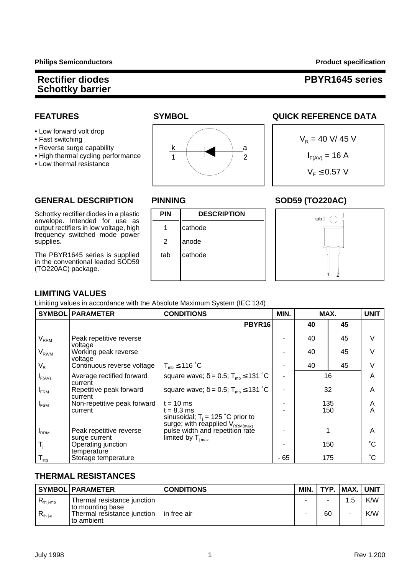### **Rectifier diodes PBYR1645 series**

- Low forward volt drop
- 
- Reverse surge capability
- High thermal cycling performance IF(AV) = 16 A
- Low thermal resistance



#### **FEATURES SYMBOL SYMBOL QUICK REFERENCE DATA**

$$
V_R = 40 \text{ V} / 45 \text{ V}
$$
  
 $I_{F(AV)} = 16 \text{ A}$   
 $V_F \le 0.57 \text{ V}$ 

#### GENERAL DESCRIPTION PINNING SOD59 (TO220AC)

Schottky rectifier diodes in a plastic  $\vert$  **PIN** DESCRIPTION envelope. Intended for use as output rectifiers in low voltage, high | 1 | cathode frequency switched mode power supplies.  $\begin{vmatrix} 2 \\ 2 \end{vmatrix}$  anode

The PBYR1645 series is supplied  $\parallel$  tab  $\parallel$  cathode in the conventional leaded SOD59 (TO220AC) package.







#### **LIMITING VALUES**

Limiting values in accordance with the Absolute Maximum System (IEC 134)

| <b>SYMBOL</b>    | <b>PARAMETER</b>                         | <b>CONDITIONS</b>                                                                                     | MIN. | MAX.       |     | <b>UNIT</b>  |
|------------------|------------------------------------------|-------------------------------------------------------------------------------------------------------|------|------------|-----|--------------|
|                  |                                          | <b>PBYR16</b>                                                                                         |      | 40         | 45  |              |
| $V_{RRM}$        | Peak repetitive reverse<br>voltage       |                                                                                                       |      | 40         | 45  | $\vee$       |
| $V_{RWM}$        | Working peak reverse<br>voltage          |                                                                                                       |      | 40         | 45  | $\vee$       |
| $V_R$            | Continuous reverse voltage               | $T_{\text{mb}} \leq 116 \degree C$                                                                    |      | 40         | 45  | V            |
| $I_{F(AV)}$      | Average rectified forward<br>current     | square wave; $\delta = 0.5$ ; T <sub>mb</sub> $\leq 131$ °C                                           |      | 16         |     | A            |
| $I_{FRM}$        | Repetitive peak forward<br>current       | square wave; $\delta = 0.5$ ; T <sub>mb</sub> $\leq 131$ °C                                           |      | 32         |     | A            |
| $I_{FSM}$        | Non-repetitive peak forward<br>current   | $t = 10$ ms<br>$t = 8.3$ ms<br>sinusoidal; $T_i = 125$ °C prior to<br>surge; with reapplied VRRM(max) |      | 135<br>150 |     | A<br>A       |
| <b>I</b> RRM     | Peak repetitive reverse<br>surge current | pulse width and repetition rate<br>$\lim$ ited by $\mathsf{T}_{\text{i max}}$                         |      |            |     | A            |
| $T_i$            | Operating junction<br>temperature        |                                                                                                       |      |            | 150 | $^{\circ}$ C |
| $T_{\text{stg}}$ | Storage temperature                      |                                                                                                       | - 65 |            | 175 | $^{\circ}C$  |

#### **THERMAL RESISTANCES**

|                | <b>SYMBOL PARAMETER</b>                         | <b>CONDITIONS</b> | MIN. |    | TYP.   MAX.   UNIT |     |
|----------------|-------------------------------------------------|-------------------|------|----|--------------------|-----|
| $R_{th\ j-mb}$ | Thermal resistance junction<br>to mounting base |                   |      | -  | 1.5                | K/W |
| $R_{th\,j-a}$  | Thermal resistance junction<br>I to ambient     | l in free air     |      | 60 |                    | K/W |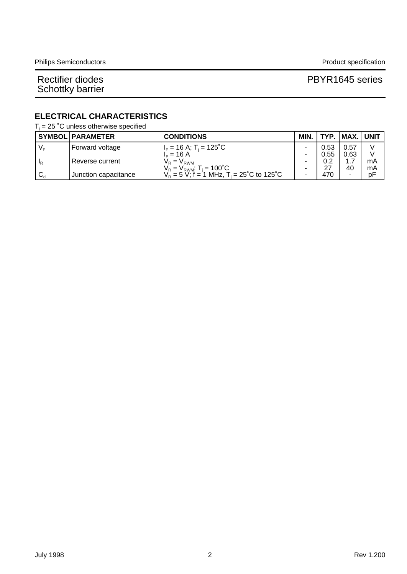#### Rectifier diodes **PBYR1645** series

#### **ELECTRICAL CHARACTERISTICS**

 $T_i$  = 25 °C unless otherwise specified

|                             | <b>SYMBOL PARAMETER</b> | <b>CONDITIONS</b>                                            | MIN. | TYP. | .   MAX.   UNIT |    |
|-----------------------------|-------------------------|--------------------------------------------------------------|------|------|-----------------|----|
| $V_{\rm F}$                 | Forward voltage         | $I_F$ = 16 A; T <sub>i</sub> = 125°C                         |      | 0.53 | 0.57            |    |
|                             |                         | $L = 16 A$                                                   |      | 0.55 | 0.63            |    |
| <sup>I</sup> R              | Reverse current         | $V_R = V_{RWM}$                                              |      | 0.2  |                 | mA |
|                             |                         | $V_{\rm R} = V_{\rm RWM}$ ; T <sub>i</sub> = 100°C           |      | 27   | 40              | mA |
| ${}^{\circ}$ C <sub>d</sub> | Junction capacitance    | $V_{\rm B} = 5$ V; f = 1 MHz, T <sub>i</sub> = 25°C to 125°C |      | 470  |                 | рF |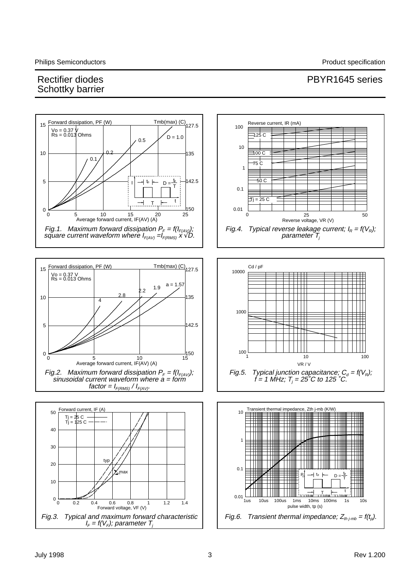### Rectifier diodes **PBYR1645** series Schottky barrier

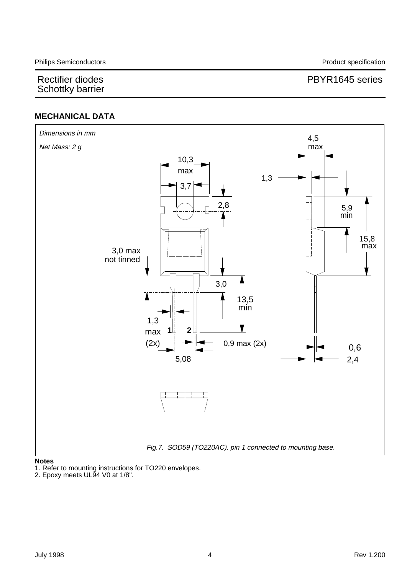### Rectifier diodes **PBYR1645** series

#### **MECHANICAL DATA**



#### **Notes**

1. Refer to mounting instructions for TO220 envelopes.

2. Epoxy meets UL94 V0 at 1/8".